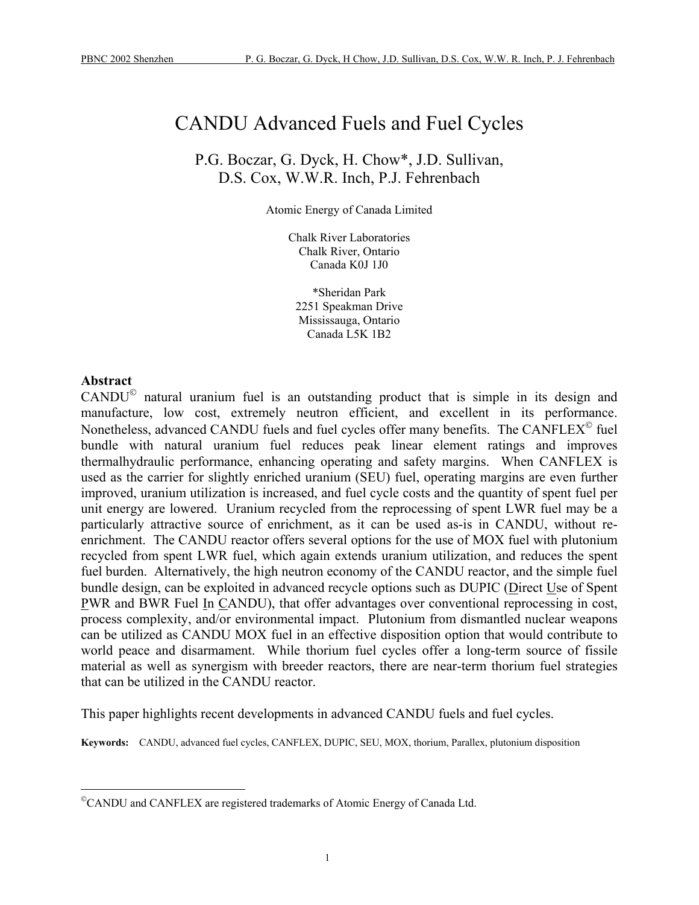# <span id="page-0-1"></span>CANDU Advanced Fuels and Fuel Cycles

P.G. Boczar, G. Dyck, H. Chow\*, J.D. Sullivan, D.S. Cox, W.W.R. Inch, P.J. Fehrenbach

Atomic Energy of Canada Limited

Chalk River Laboratories Chalk River, Ontario Canada K0J 1J0

\*Sheridan Park 2251 Speakman Drive Mississauga, Ontario Canada L5K 1B2

#### **Abstract**

 $\overline{a}$ 

 $CANDU<sup>®</sup>$  natural uranium fuel is an outstanding product that is simple in its design and manufacture, low cost, extremely neutron efficient, and excellent in its performance. Nonetheless, advanced CANDU fuels and fuel cycles offer many benefits. The CANFLEX<sup>®</sup> fuel bundle with natural uranium fuel reduces peak linear element ratings and improves thermalhydraulic performance, enhancing operating and safety margins. When CANFLEX is used as the carrier for slightly enriched uranium (SEU) fuel, operating margins are even further improved, uranium utilization is increased, and fuel cycle costs and the quantity of spent fuel per unit energy are lowered. Uranium recycled from the reprocessing of spent LWR fuel may be a particularly attractive source of enrichment, as it can be used as-is in CANDU, without reenrichment. The CANDU reactor offers several options for the use of MOX fuel with plutonium recycled from spent LWR fuel, which again extends uranium utilization, and reduces the spent fuel burden. Alternatively, the high neutron economy of the CANDU reactor, and the simple fuel bundle design, can be exploited in advanced recycle options such as DUPIC (Direct Use of Spent PWR and BWR Fuel In CANDU), that offer advantages over conventional reprocessing in cost, process complexity, and/or environmental impact. Plutonium from dismantled nuclear weapons can be utilized as CANDU MOX fuel in an effective disposition option that would contribute to world peace and disarmament. While thorium fuel cycles offer a long-term source of fissile material as well as synergism with breeder reactors, there are near-term thorium fuel strategies that can be utilized in the CANDU reactor.

This paper highlights recent developments in advanced CANDU fuels and fuel cycles.

**Keywords:** CANDU, advanced fuel cycles, CANFLEX, DUPIC, SEU, MOX, thorium, Parallex, plutonium disposition

<span id="page-0-0"></span><sup>©</sup>CANDU and CANFLEX are registered trademarks of Atomic Energy of Canada Ltd.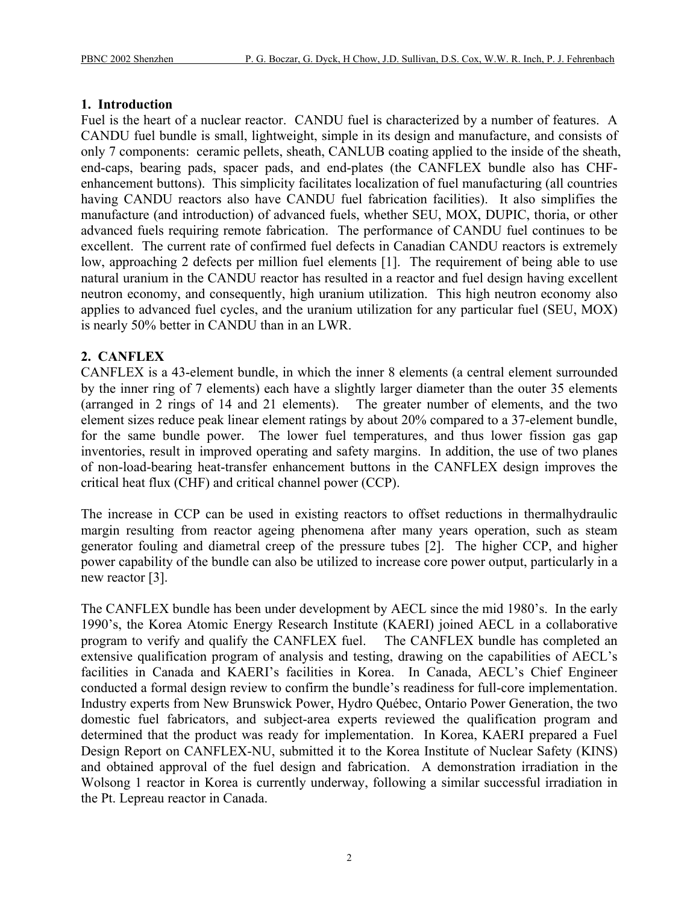#### **1. Introduction**

Fuel is the heart of a nuclear reactor. CANDU fuel is characterized by a number of features. A CANDU fuel bundle is small, lightweight, simple in its design and manufacture, and consists of only 7 components: ceramic pellets, sheath, CANLUB coating applied to the inside of the sheath, end-caps, bearing pads, spacer pads, and end-plates (the CANFLEX bundle also has CHFenhancement buttons). This simplicity facilitates localization of fuel manufacturing (all countries having CANDU reactors also have CANDU fuel fabrication facilities). It also simplifies the manufacture (and introduction) of advanced fuels, whether SEU, MOX, DUPIC, thoria, or other advanced fuels requiring remote fabrication. The performance of CANDU fuel continues to be excellent. The current rate of confirmed fuel defects in Canadian CANDU reactors is extremely low, approaching 2 defects per million fuel elements [1]. The requirement of being able to use natural uranium in the CANDU reactor has resulted in a reactor and fuel design having excellent neutron economy, and consequently, high uranium utilization. This high neutron economy also applies to advanced fuel cycles, and the uranium utilization for any particular fuel (SEU, MOX) is nearly 50% better in CANDU than in an LWR.

## **2. CANFLEX**

CANFLEX is a 43-element bundle, in which the inner 8 elements (a central element surrounded by the inner ring of 7 elements) each have a slightly larger diameter than the outer 35 elements (arranged in 2 rings of 14 and 21 elements). The greater number of elements, and the two element sizes reduce peak linear element ratings by about 20% compared to a 37-element bundle, for the same bundle power. The lower fuel temperatures, and thus lower fission gas gap inventories, result in improved operating and safety margins. In addition, the use of two planes of non-load-bearing heat-transfer enhancement buttons in the CANFLEX design improves the critical heat flux (CHF) and critical channel power (CCP).

The increase in CCP can be used in existing reactors to offset reductions in thermalhydraulic margin resulting from reactor ageing phenomena after many years operation, such as steam generator fouling and diametral creep of the pressure tubes [2]. The higher CCP, and higher power capability of the bundle can also be utilized to increase core power output, particularly in a new reactor [3].

The CANFLEX bundle has been under development by AECL since the mid 1980's. In the early 1990's, the Korea Atomic Energy Research Institute (KAERI) joined AECL in a collaborative program to verify and qualify the CANFLEX fuel. The CANFLEX bundle has completed an extensive qualification program of analysis and testing, drawing on the capabilities of AECL's facilities in Canada and KAERI's facilities in Korea. In Canada, AECL's Chief Engineer conducted a formal design review to confirm the bundle's readiness for full-core implementation. Industry experts from New Brunswick Power, Hydro Québec, Ontario Power Generation, the two domestic fuel fabricators, and subject-area experts reviewed the qualification program and determined that the product was ready for implementation. In Korea, KAERI prepared a Fuel Design Report on CANFLEX-NU, submitted it to the Korea Institute of Nuclear Safety (KINS) and obtained approval of the fuel design and fabrication. A demonstration irradiation in the Wolsong 1 reactor in Korea is currently underway, following a similar successful irradiation in the Pt. Lepreau reactor in Canada.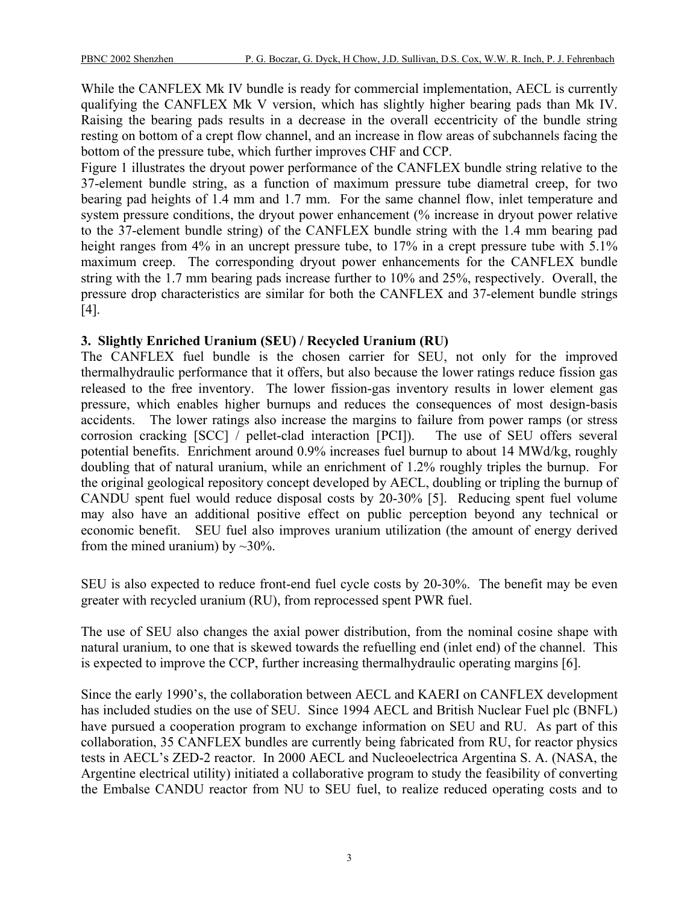While the CANFLEX Mk IV bundle is ready for commercial implementation, AECL is currently qualifying the CANFLEX Mk V version, which has slightly higher bearing pads than Mk IV. Raising the bearing pads results in a decrease in the overall eccentricity of the bundle string resting on bottom of a crept flow channel, and an increase in flow areas of subchannels facing the bottom of the pressure tube, which further improves CHF and CCP.

Figure 1 illustrates the dryout power performance of the CANFLEX bundle string relative to the 37-element bundle string, as a function of maximum pressure tube diametral creep, for two bearing pad heights of 1.4 mm and 1.7 mm. For the same channel flow, inlet temperature and system pressure conditions, the dryout power enhancement (% increase in dryout power relative to the 37-element bundle string) of the CANFLEX bundle string with the 1.4 mm bearing pad height ranges from 4% in an uncrept pressure tube, to 17% in a crept pressure tube with 5.1% maximum creep. The corresponding dryout power enhancements for the CANFLEX bundle string with the 1.7 mm bearing pads increase further to 10% and 25%, respectively. Overall, the pressure drop characteristics are similar for both the CANFLEX and 37-element bundle strings [4].

## **3. Slightly Enriched Uranium (SEU) / Recycled Uranium (RU)**

The CANFLEX fuel bundle is the chosen carrier for SEU, not only for the improved thermalhydraulic performance that it offers, but also because the lower ratings reduce fission gas released to the free inventory. The lower fission-gas inventory results in lower element gas pressure, which enables higher burnups and reduces the consequences of most design-basis accidents. The lower ratings also increase the margins to failure from power ramps (or stress corrosion cracking [SCC] / pellet-clad interaction [PCI]). The use of SEU offers several potential benefits. Enrichment around 0.9% increases fuel burnup to about 14 MWd/kg, roughly doubling that of natural uranium, while an enrichment of 1.2% roughly triples the burnup. For the original geological repository concept developed by AECL, doubling or tripling the burnup of CANDU spent fuel would reduce disposal costs by 20-30% [5]. Reducing spent fuel volume may also have an additional positive effect on public perception beyond any technical or economic benefit. SEU fuel also improves uranium utilization (the amount of energy derived from the mined uranium) by  $\sim$ 30%.

SEU is also expected to reduce front-end fuel cycle costs by 20-30%. The benefit may be even greater with recycled uranium (RU), from reprocessed spent PWR fuel.

The use of SEU also changes the axial power distribution, from the nominal cosine shape with natural uranium, to one that is skewed towards the refuelling end (inlet end) of the channel. This is expected to improve the CCP, further increasing thermalhydraulic operating margins [6].

Since the early 1990's, the collaboration between AECL and KAERI on CANFLEX development has included studies on the use of SEU. Since 1994 AECL and British Nuclear Fuel plc (BNFL) have pursued a cooperation program to exchange information on SEU and RU. As part of this collaboration, 35 CANFLEX bundles are currently being fabricated from RU, for reactor physics tests in AECL's ZED-2 reactor. In 2000 AECL and Nucleoelectrica Argentina S. A. (NASA, the Argentine electrical utility) initiated a collaborative program to study the feasibility of converting the Embalse CANDU reactor from NU to SEU fuel, to realize reduced operating costs and to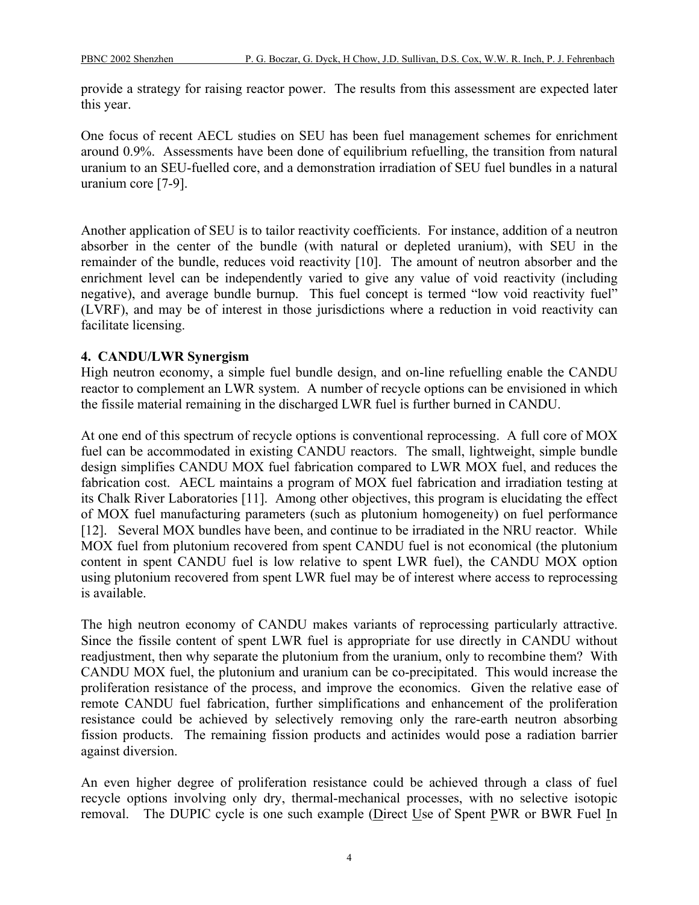provide a strategy for raising reactor power. The results from this assessment are expected later this year.

One focus of recent AECL studies on SEU has been fuel management schemes for enrichment around 0.9%. Assessments have been done of equilibrium refuelling, the transition from natural uranium to an SEU-fuelled core, and a demonstration irradiation of SEU fuel bundles in a natural uranium core [7-9].

Another application of SEU is to tailor reactivity coefficients. For instance, addition of a neutron absorber in the center of the bundle (with natural or depleted uranium), with SEU in the remainder of the bundle, reduces void reactivity [10]. The amount of neutron absorber and the enrichment level can be independently varied to give any value of void reactivity (including negative), and average bundle burnup. This fuel concept is termed "low void reactivity fuel" (LVRF), and may be of interest in those jurisdictions where a reduction in void reactivity can facilitate licensing.

#### **4. CANDU/LWR Synergism**

High neutron economy, a simple fuel bundle design, and on-line refuelling enable the CANDU reactor to complement an LWR system. A number of recycle options can be envisioned in which the fissile material remaining in the discharged LWR fuel is further burned in CANDU.

At one end of this spectrum of recycle options is conventional reprocessing. A full core of MOX fuel can be accommodated in existing CANDU reactors. The small, lightweight, simple bundle design simplifies CANDU MOX fuel fabrication compared to LWR MOX fuel, and reduces the fabrication cost. AECL maintains a program of MOX fuel fabrication and irradiation testing at its Chalk River Laboratories [11]. Among other objectives, this program is elucidating the effect of MOX fuel manufacturing parameters (such as plutonium homogeneity) on fuel performance [12]. Several MOX bundles have been, and continue to be irradiated in the NRU reactor. While MOX fuel from plutonium recovered from spent CANDU fuel is not economical (the plutonium content in spent CANDU fuel is low relative to spent LWR fuel), the CANDU MOX option using plutonium recovered from spent LWR fuel may be of interest where access to reprocessing is available.

The high neutron economy of CANDU makes variants of reprocessing particularly attractive. Since the fissile content of spent LWR fuel is appropriate for use directly in CANDU without readjustment, then why separate the plutonium from the uranium, only to recombine them? With CANDU MOX fuel, the plutonium and uranium can be co-precipitated. This would increase the proliferation resistance of the process, and improve the economics. Given the relative ease of remote CANDU fuel fabrication, further simplifications and enhancement of the proliferation resistance could be achieved by selectively removing only the rare-earth neutron absorbing fission products. The remaining fission products and actinides would pose a radiation barrier against diversion.

An even higher degree of proliferation resistance could be achieved through a class of fuel recycle options involving only dry, thermal-mechanical processes, with no selective isotopic removal. The DUPIC cycle is one such example (Direct Use of Spent PWR or BWR Fuel In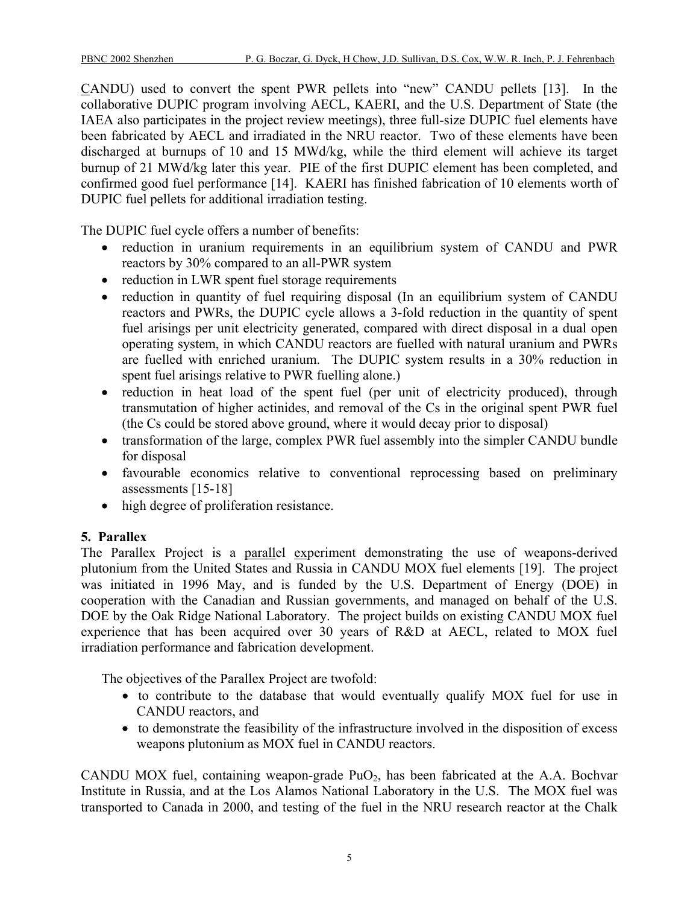CANDU) used to convert the spent PWR pellets into "new" CANDU pellets [13]. In the collaborative DUPIC program involving AECL, KAERI, and the U.S. Department of State (the IAEA also participates in the project review meetings), three full-size DUPIC fuel elements have been fabricated by AECL and irradiated in the NRU reactor. Two of these elements have been discharged at burnups of 10 and 15 MWd/kg, while the third element will achieve its target burnup of 21 MWd/kg later this year. PIE of the first DUPIC element has been completed, and confirmed good fuel performance [14]. KAERI has finished fabrication of 10 elements worth of DUPIC fuel pellets for additional irradiation testing.

The DUPIC fuel cycle offers a number of benefits:

- reduction in uranium requirements in an equilibrium system of CANDU and PWR reactors by 30% compared to an all-PWR system
- reduction in LWR spent fuel storage requirements
- reduction in quantity of fuel requiring disposal (In an equilibrium system of CANDU reactors and PWRs, the DUPIC cycle allows a 3-fold reduction in the quantity of spent fuel arisings per unit electricity generated, compared with direct disposal in a dual open operating system, in which CANDU reactors are fuelled with natural uranium and PWRs are fuelled with enriched uranium. The DUPIC system results in a 30% reduction in spent fuel arisings relative to PWR fuelling alone.)
- reduction in heat load of the spent fuel (per unit of electricity produced), through transmutation of higher actinides, and removal of the Cs in the original spent PWR fuel (the Cs could be stored above ground, where it would decay prior to disposal)
- transformation of the large, complex PWR fuel assembly into the simpler CANDU bundle for disposal
- favourable economics relative to conventional reprocessing based on preliminary assessments [15-18]
- high degree of proliferation resistance.

# **5. Parallex**

The Parallex Project is a parallel experiment demonstrating the use of weapons-derived plutonium from the United States and Russia in CANDU MOX fuel elements [19]. The project was initiated in 1996 May, and is funded by the U.S. Department of Energy (DOE) in cooperation with the Canadian and Russian governments, and managed on behalf of the U.S. DOE by the Oak Ridge National Laboratory. The project builds on existing CANDU MOX fuel experience that has been acquired over 30 years of R&D at AECL, related to MOX fuel irradiation performance and fabrication development.

The objectives of the Parallex Project are twofold:

- to contribute to the database that would eventually qualify MOX fuel for use in CANDU reactors, and
- to demonstrate the feasibility of the infrastructure involved in the disposition of excess weapons plutonium as MOX fuel in CANDU reactors.

CANDU MOX fuel, containing weapon-grade PuO<sub>2</sub>, has been fabricated at the A.A. Bochvar Institute in Russia, and at the Los Alamos National Laboratory in the U.S. The MOX fuel was transported to Canada in 2000, and testing of the fuel in the NRU research reactor at the Chalk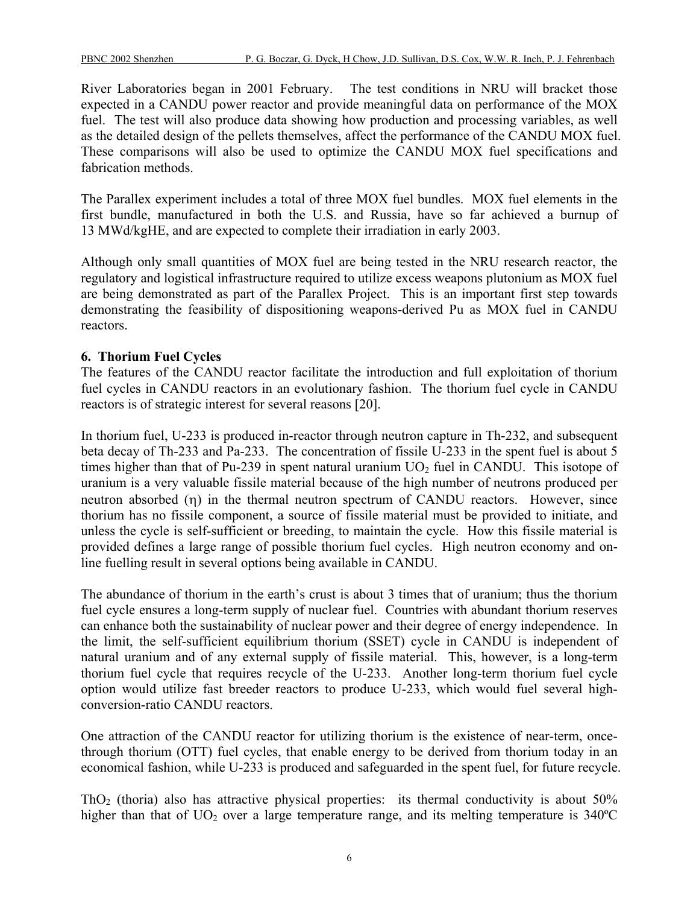River Laboratories began in 2001 February. The test conditions in NRU will bracket those expected in a CANDU power reactor and provide meaningful data on performance of the MOX fuel. The test will also produce data showing how production and processing variables, as well as the detailed design of the pellets themselves, affect the performance of the CANDU MOX fuel. These comparisons will also be used to optimize the CANDU MOX fuel specifications and fabrication methods.

The Parallex experiment includes a total of three MOX fuel bundles. MOX fuel elements in the first bundle, manufactured in both the U.S. and Russia, have so far achieved a burnup of 13 MWd/kgHE, and are expected to complete their irradiation in early 2003.

Although only small quantities of MOX fuel are being tested in the NRU research reactor, the regulatory and logistical infrastructure required to utilize excess weapons plutonium as MOX fuel are being demonstrated as part of the Parallex Project. This is an important first step towards demonstrating the feasibility of dispositioning weapons-derived Pu as MOX fuel in CANDU reactors.

## **6. Thorium Fuel Cycles**

The features of the CANDU reactor facilitate the introduction and full exploitation of thorium fuel cycles in CANDU reactors in an evolutionary fashion. The thorium fuel cycle in CANDU reactors is of strategic interest for several reasons [20].

In thorium fuel, U-233 is produced in-reactor through neutron capture in Th-232, and subsequent beta decay of Th-233 and Pa-233. The concentration of fissile U-233 in the spent fuel is about 5 times higher than that of Pu-239 in spent natural uranium  $UO<sub>2</sub>$  fuel in CANDU. This isotope of uranium is a very valuable fissile material because of the high number of neutrons produced per neutron absorbed (η) in the thermal neutron spectrum of CANDU reactors. However, since thorium has no fissile component, a source of fissile material must be provided to initiate, and unless the cycle is self-sufficient or breeding, to maintain the cycle. How this fissile material is provided defines a large range of possible thorium fuel cycles. High neutron economy and online fuelling result in several options being available in CANDU.

The abundance of thorium in the earth's crust is about 3 times that of uranium; thus the thorium fuel cycle ensures a long-term supply of nuclear fuel. Countries with abundant thorium reserves can enhance both the sustainability of nuclear power and their degree of energy independence. In the limit, the self-sufficient equilibrium thorium (SSET) cycle in CANDU is independent of natural uranium and of any external supply of fissile material. This, however, is a long-term thorium fuel cycle that requires recycle of the U-233. Another long-term thorium fuel cycle option would utilize fast breeder reactors to produce U-233, which would fuel several highconversion-ratio CANDU reactors.

One attraction of the CANDU reactor for utilizing thorium is the existence of near-term, oncethrough thorium (OTT) fuel cycles, that enable energy to be derived from thorium today in an economical fashion, while U-233 is produced and safeguarded in the spent fuel, for future recycle.

ThO<sub>2</sub> (thoria) also has attractive physical properties: its thermal conductivity is about  $50\%$ higher than that of  $UO<sub>2</sub>$  over a large temperature range, and its melting temperature is 340°C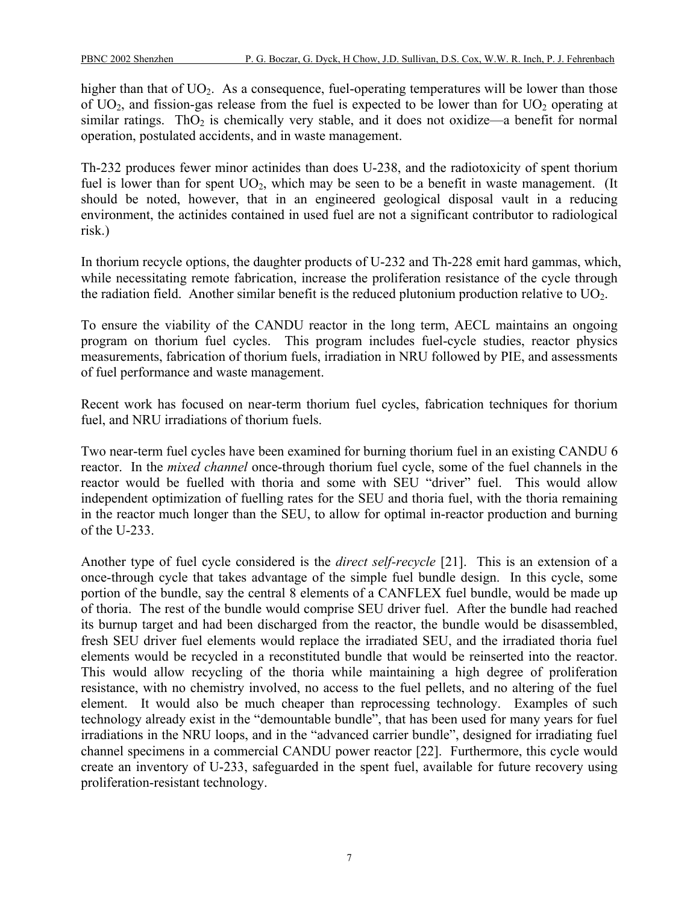higher than that of  $UO<sub>2</sub>$ . As a consequence, fuel-operating temperatures will be lower than those of  $UO<sub>2</sub>$ , and fission-gas release from the fuel is expected to be lower than for  $UO<sub>2</sub>$  operating at similar ratings. Th $O_2$  is chemically very stable, and it does not oxidize—a benefit for normal operation, postulated accidents, and in waste management.

Th-232 produces fewer minor actinides than does U-238, and the radiotoxicity of spent thorium fuel is lower than for spent  $UO<sub>2</sub>$ , which may be seen to be a benefit in waste management. (It should be noted, however, that in an engineered geological disposal vault in a reducing environment, the actinides contained in used fuel are not a significant contributor to radiological risk.)

In thorium recycle options, the daughter products of U-232 and Th-228 emit hard gammas, which, while necessitating remote fabrication, increase the proliferation resistance of the cycle through the radiation field. Another similar benefit is the reduced plutonium production relative to UO2.

To ensure the viability of the CANDU reactor in the long term, AECL maintains an ongoing program on thorium fuel cycles. This program includes fuel-cycle studies, reactor physics measurements, fabrication of thorium fuels, irradiation in NRU followed by PIE, and assessments of fuel performance and waste management.

Recent work has focused on near-term thorium fuel cycles, fabrication techniques for thorium fuel, and NRU irradiations of thorium fuels.

Two near-term fuel cycles have been examined for burning thorium fuel in an existing CANDU 6 reactor. In the *mixed channel* once-through thorium fuel cycle, some of the fuel channels in the reactor would be fuelled with thoria and some with SEU "driver" fuel. This would allow independent optimization of fuelling rates for the SEU and thoria fuel, with the thoria remaining in the reactor much longer than the SEU, to allow for optimal in-reactor production and burning of the U-233.

Another type of fuel cycle considered is the *direct self-recycle* [21]. This is an extension of a once-through cycle that takes advantage of the simple fuel bundle design. In this cycle, some portion of the bundle, say the central 8 elements of a CANFLEX fuel bundle, would be made up of thoria. The rest of the bundle would comprise SEU driver fuel. After the bundle had reached its burnup target and had been discharged from the reactor, the bundle would be disassembled, fresh SEU driver fuel elements would replace the irradiated SEU, and the irradiated thoria fuel elements would be recycled in a reconstituted bundle that would be reinserted into the reactor. This would allow recycling of the thoria while maintaining a high degree of proliferation resistance, with no chemistry involved, no access to the fuel pellets, and no altering of the fuel element. It would also be much cheaper than reprocessing technology. Examples of such technology already exist in the "demountable bundle", that has been used for many years for fuel irradiations in the NRU loops, and in the "advanced carrier bundle", designed for irradiating fuel channel specimens in a commercial CANDU power reactor [22]. Furthermore, this cycle would create an inventory of U-233, safeguarded in the spent fuel, available for future recovery using proliferation-resistant technology.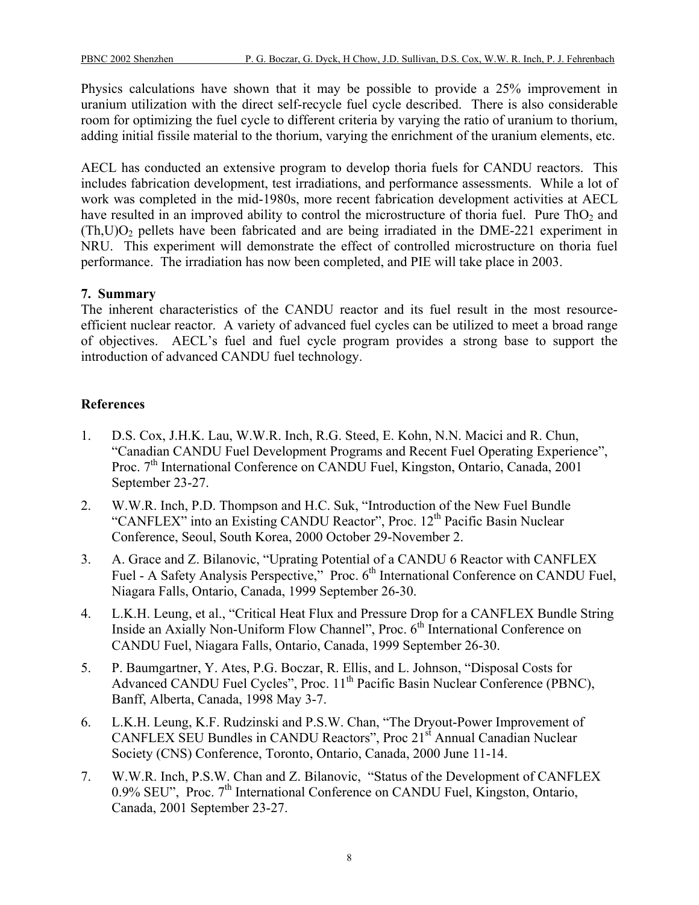Physics calculations have shown that it may be possible to provide a 25% improvement in uranium utilization with the direct self-recycle fuel cycle described. There is also considerable room for optimizing the fuel cycle to different criteria by varying the ratio of uranium to thorium, adding initial fissile material to the thorium, varying the enrichment of the uranium elements, etc.

AECL has conducted an extensive program to develop thoria fuels for CANDU reactors. This includes fabrication development, test irradiations, and performance assessments. While a lot of work was completed in the mid-1980s, more recent fabrication development activities at AECL have resulted in an improved ability to control the microstructure of thoria fuel. Pure  $ThO<sub>2</sub>$  and  $(Th, U)O<sub>2</sub>$  pellets have been fabricated and are being irradiated in the DME-221 experiment in NRU. This experiment will demonstrate the effect of controlled microstructure on thoria fuel performance. The irradiation has now been completed, and PIE will take place in 2003.

## **7. Summary**

The inherent characteristics of the CANDU reactor and its fuel result in the most resourceefficient nuclear reactor. A variety of advanced fuel cycles can be utilized to meet a broad range of objectives. AECL's fuel and fuel cycle program provides a strong base to support the introduction of advanced CANDU fuel technology.

## **References**

- 1. D.S. Cox, J.H.K. Lau, W.W.R. Inch, R.G. Steed, E. Kohn, N.N. Macici and R. Chun, "Canadian CANDU Fuel Development Programs and Recent Fuel Operating Experience", Proc. 7<sup>th</sup> International Conference on CANDU Fuel, Kingston, Ontario, Canada, 2001 September 23-27.
- 2. W.W.R. Inch, P.D. Thompson and H.C. Suk, "Introduction of the New Fuel Bundle "CANFLEX" into an Existing CANDU Reactor", Proc. 12<sup>th</sup> Pacific Basin Nuclear Conference, Seoul, South Korea, 2000 October 29-November 2.
- 3. A. Grace and Z. Bilanovic, "Uprating Potential of a CANDU 6 Reactor with CANFLEX Fuel - A Safety Analysis Perspective," Proc. 6<sup>th</sup> International Conference on CANDU Fuel, Niagara Falls, Ontario, Canada, 1999 September 26-30.
- 4. L.K.H. Leung, et al., "Critical Heat Flux and Pressure Drop for a CANFLEX Bundle String Inside an Axially Non-Uniform Flow Channel", Proc. 6<sup>th</sup> International Conference on CANDU Fuel, Niagara Falls, Ontario, Canada, 1999 September 26-30.
- 5. P. Baumgartner, Y. Ates, P.G. Boczar, R. Ellis, and L. Johnson, "Disposal Costs for Advanced CANDU Fuel Cycles", Proc. 11<sup>th</sup> Pacific Basin Nuclear Conference (PBNC), Banff, Alberta, Canada, 1998 May 3-7.
- 6. L.K.H. Leung, K.F. Rudzinski and P.S.W. Chan, "The Dryout-Power Improvement of CANFLEX SEU Bundles in CANDU Reactors", Proc 21<sup>st</sup> Annual Canadian Nuclear Society (CNS) Conference, Toronto, Ontario, Canada, 2000 June 11-14.
- 7. W.W.R. Inch, P.S.W. Chan and Z. Bilanovic, "Status of the Development of CANFLEX 0.9% SEU", Proc.  $7<sup>th</sup>$  International Conference on CANDU Fuel, Kingston, Ontario, Canada, 2001 September 23-27.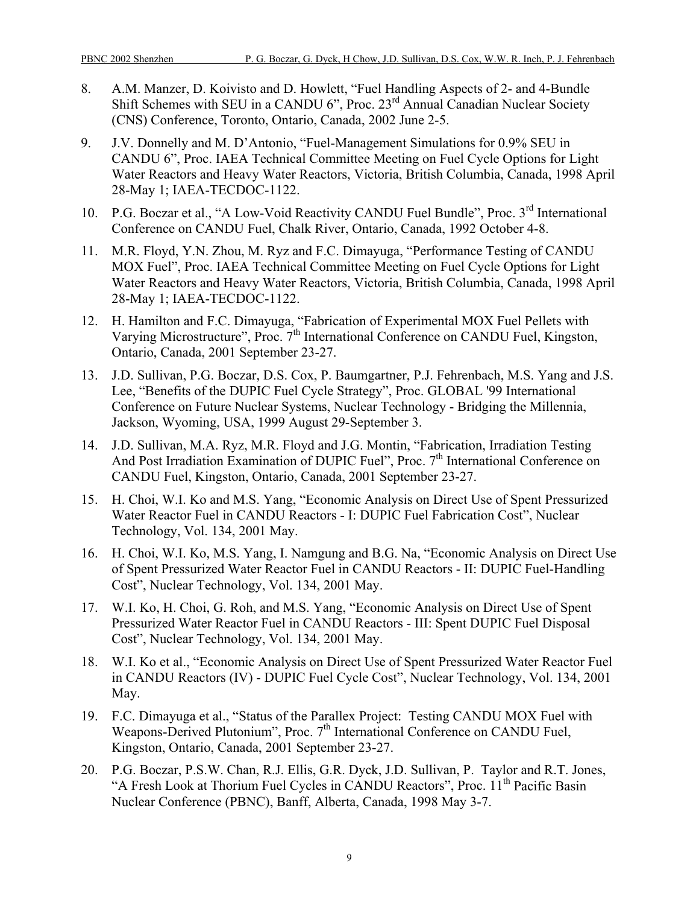- 8. A.M. Manzer, D. Koivisto and D. Howlett, "Fuel Handling Aspects of 2- and 4-Bundle Shift Schemes with SEU in a CANDU 6", Proc. 23<sup>rd</sup> Annual Canadian Nuclear Society (CNS) Conference, Toronto, Ontario, Canada, 2002 June 2-5.
- 9. J.V. Donnelly and M. D'Antonio, "Fuel-Management Simulations for 0.9% SEU in CANDU 6", Proc. IAEA Technical Committee Meeting on Fuel Cycle Options for Light Water Reactors and Heavy Water Reactors, Victoria, British Columbia, Canada, 1998 April 28-May 1; IAEA-TECDOC-1122.
- 10. P.G. Boczar et al., "A Low-Void Reactivity CANDU Fuel Bundle", Proc. 3<sup>rd</sup> International Conference on CANDU Fuel, Chalk River, Ontario, Canada, 1992 October 4-8.
- 11. M.R. Floyd, Y.N. Zhou, M. Ryz and F.C. Dimayuga, "Performance Testing of CANDU MOX Fuel", Proc. IAEA Technical Committee Meeting on Fuel Cycle Options for Light Water Reactors and Heavy Water Reactors, Victoria, British Columbia, Canada, 1998 April 28-May 1; IAEA-TECDOC-1122.
- 12. H. Hamilton and F.C. Dimayuga, "Fabrication of Experimental MOX Fuel Pellets with Varying Microstructure", Proc. 7<sup>th</sup> International Conference on CANDU Fuel, Kingston, Ontario, Canada, 2001 September 23-27.
- 13. J.D. Sullivan, P.G. Boczar, D.S. Cox, P. Baumgartner, P.J. Fehrenbach, M.S. Yang and J.S. Lee, "Benefits of the DUPIC Fuel Cycle Strategy", Proc. GLOBAL '99 International Conference on Future Nuclear Systems, Nuclear Technology - Bridging the Millennia, Jackson, Wyoming, USA, 1999 August 29-September 3.
- 14. J.D. Sullivan, M.A. Ryz, M.R. Floyd and J.G. Montin, "Fabrication, Irradiation Testing And Post Irradiation Examination of DUPIC Fuel", Proc. 7<sup>th</sup> International Conference on CANDU Fuel, Kingston, Ontario, Canada, 2001 September 23-27.
- 15. H. Choi, W.I. Ko and M.S. Yang, "Economic Analysis on Direct Use of Spent Pressurized Water Reactor Fuel in CANDU Reactors - I: DUPIC Fuel Fabrication Cost", Nuclear Technology, Vol. 134, 2001 May.
- 16. H. Choi, W.I. Ko, M.S. Yang, I. Namgung and B.G. Na, "Economic Analysis on Direct Use of Spent Pressurized Water Reactor Fuel in CANDU Reactors - II: DUPIC Fuel-Handling Cost", Nuclear Technology, Vol. 134, 2001 May.
- 17. W.I. Ko, H. Choi, G. Roh, and M.S. Yang, "Economic Analysis on Direct Use of Spent Pressurized Water Reactor Fuel in CANDU Reactors - III: Spent DUPIC Fuel Disposal Cost", Nuclear Technology, Vol. 134, 2001 May.
- 18. W.I. Ko et al., "Economic Analysis on Direct Use of Spent Pressurized Water Reactor Fuel in CANDU Reactors (IV) - DUPIC Fuel Cycle Cost", Nuclear Technology, Vol. 134, 2001 May.
- 19. F.C. Dimayuga et al., "Status of the Parallex Project: Testing CANDU MOX Fuel with Weapons-Derived Plutonium", Proc. 7<sup>th</sup> International Conference on CANDU Fuel, Kingston, Ontario, Canada, 2001 September 23-27.
- 20. P.G. Boczar, P.S.W. Chan, R.J. Ellis, G.R. Dyck, J.D. Sullivan, P. Taylor and R.T. Jones, "A Fresh Look at Thorium Fuel Cycles in CANDU Reactors", Proc. 11<sup>th</sup> Pacific Basin Nuclear Conference (PBNC), Banff, Alberta, Canada, 1998 May 3-7.